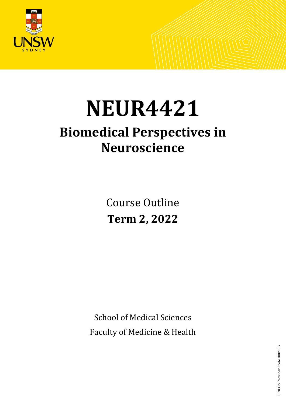

# **NEUR4421**

## **Biomedical Perspectives in Neuroscience**

Course Outline **Term 2, 2022**

School of Medical Sciences Faculty of Medicine & Health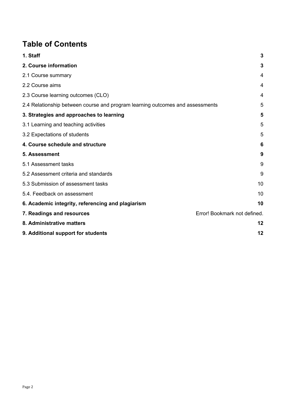## **Table of Contents**

| 1. Staff                                                                      | 3                            |
|-------------------------------------------------------------------------------|------------------------------|
| 2. Course information                                                         | 3                            |
| 2.1 Course summary                                                            | 4                            |
| 2.2 Course aims                                                               | 4                            |
| 2.3 Course learning outcomes (CLO)                                            | 4                            |
| 2.4 Relationship between course and program learning outcomes and assessments | 5                            |
| 3. Strategies and approaches to learning                                      | 5                            |
| 3.1 Learning and teaching activities                                          | 5                            |
| 3.2 Expectations of students                                                  | 5                            |
| 4. Course schedule and structure                                              | 6                            |
| 5. Assessment                                                                 | 9                            |
| 5.1 Assessment tasks                                                          | 9                            |
| 5.2 Assessment criteria and standards                                         | 9                            |
| 5.3 Submission of assessment tasks                                            | 10                           |
| 5.4. Feedback on assessment                                                   | 10                           |
| 6. Academic integrity, referencing and plagiarism                             | 10                           |
| 7. Readings and resources                                                     | Error! Bookmark not defined. |
| 8. Administrative matters                                                     | 12                           |
| 9. Additional support for students                                            | 12                           |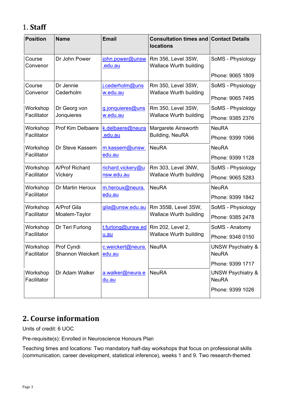## <span id="page-2-0"></span>1. **Staff**

| <b>Position</b>         | <b>Name</b>                                         | <b>Email</b>                                                                     | <b>Consultation times and Contact Details</b><br><b>locations</b> |                                              |
|-------------------------|-----------------------------------------------------|----------------------------------------------------------------------------------|-------------------------------------------------------------------|----------------------------------------------|
| Course<br>Convenor      | Dr John Power                                       | john.power@unsw<br>.edu.au                                                       | Rm 356, Level 3SW,<br><b>Wallace Wurth building</b>               | SoMS - Physiology                            |
|                         |                                                     |                                                                                  |                                                                   | Phone: 9065 1809                             |
| Course                  | Dr Jennie                                           | j.cederholm@uns                                                                  | Rm 350, Level 3SW,                                                | SoMS - Physiology                            |
| Convenor                | Cederholm                                           | w.edu.au                                                                         | Wallace Wurth building                                            | Phone: 9065 7495                             |
| Workshop                | Dr Georg von                                        | g.jonquieres@uns                                                                 | Rm 350, Level 3SW,                                                | SoMS - Physiology                            |
| Facilitator             | Jonquieres                                          | w.edu.au                                                                         | <b>Wallace Wurth building</b>                                     | Phone: 9385 2376                             |
| Workshop                | <b>Prof Kim Delbaere</b>                            | k.delbaere@neura                                                                 | Margarete Ainsworth                                               | <b>NeuRA</b>                                 |
| Facilitator             |                                                     | .edu.au                                                                          | Building, NeuRA                                                   | Phone: 9399 1066                             |
| Workshop                | Dr Steve Kassem                                     | m.kassem@unsw.                                                                   | <b>NeuRA</b>                                                      | <b>NeuRA</b>                                 |
| Facilitator             | edu.au                                              |                                                                                  | Phone: 9399 1128                                                  |                                              |
| Workshop                | A/Prof Richard                                      | richard.vickery@u                                                                | Rm 303, Level 3NW,                                                | SoMS - Physiology                            |
| Facilitator             | Vickery                                             | nsw.edu.au                                                                       | <b>Wallace Wurth building</b>                                     | Phone: 9065 5283                             |
| Workshop                | <b>NeuRA</b><br>Dr Martin Heroux<br>m.heroux@neura. |                                                                                  |                                                                   | <b>NeuRA</b>                                 |
| Facilitator             |                                                     | edu.au                                                                           |                                                                   | Phone: 9399 1842                             |
| Workshop                | A/Prof Gila                                         | gila@unsw.edu.au                                                                 | Rm 355B, Level 3SW,                                               | SoMS - Physiology                            |
| Facilitator             | Moalem-Taylor                                       |                                                                                  | <b>Wallace Wurth building</b>                                     | Phone: 9385 2478                             |
| Workshop                | Dr Teri Furlong                                     | Rm 202, Level 2,<br>t.furlong@unsw.ed<br><b>Wallace Wurth building</b><br>$u au$ |                                                                   | SoMS - Anatomy                               |
| Facilitator             |                                                     |                                                                                  |                                                                   | Phone: 9348 0150                             |
| Workshop                | Prof Cyndi                                          | c.weickert@neura. NeuRA                                                          |                                                                   | UNSW Psychiatry &                            |
| Facilitator             | Shannon Weickert edu.au                             |                                                                                  |                                                                   | <b>NeuRA</b>                                 |
|                         |                                                     |                                                                                  |                                                                   | Phone: 9399 1717                             |
| Workshop<br>Facilitator | Dr Adam Walker                                      | a.walker@neura.e<br><u>du.au</u>                                                 | <b>NeuRA</b>                                                      | <b>UNSW Psychiatry &amp;</b><br><b>NeuRA</b> |
|                         |                                                     |                                                                                  |                                                                   | Phone: 9399 1026                             |

## <span id="page-2-1"></span>**2. Course information**

Units of credit: 6 UOC

Pre-requisite(s): Enrolled in Neuroscience Honours Plan

Teaching times and locations: Two mandatory half-day workshops that focus on professional skills (communication, career development, statistical inference), weeks 1 and 9. Two research-themed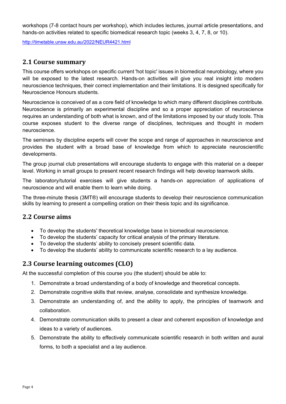workshops (7-8 contact hours per workshop), which includes lectures, journal article presentations, and hands-on activities related to specific biomedical research topic (weeks 3, 4, 7, 8, or 10).

<http://timetable.unsw.edu.au/2022/NEUR4421.html>

## <span id="page-3-0"></span>**2.1 Course summary**

This course offers workshops on specific current 'hot topic' issues in biomedical neurobiology, where you will be exposed to the latest research. Hands-on activities will give you real insight into modern neuroscience techniques, their correct implementation and their limitations. It is designed specifically for Neuroscience Honours students.

Neuroscience is conceived of as a core field of knowledge to which many different disciplines contribute. Neuroscience is primarily an experimental discipline and so a proper appreciation of neuroscience requires an understanding of both what is known, and of the limitations imposed by our study tools. This course exposes student to the diverse range of disciplines, techniques and thought in modern neuroscience.

The seminars by discipline experts will cover the scope and range of approaches in neuroscience and provides the student with a broad base of knowledge from which to appreciate neuroscientific developments.

The group journal club presentations will encourage students to engage with this material on a deeper level. Working in small groups to present recent research findings will help develop teamwork skills.

The laboratory/tutorial exercises will give students a hands-on appreciation of applications of neuroscience and will enable them to learn while doing.

The three-minute thesis (3MT®) will encourage students to develop their neuroscience communication skills by learning to present a compelling oration on their thesis topic and its significance.

## <span id="page-3-1"></span>**2.2 Course aims**

- To develop the students' theoretical knowledge base in biomedical neuroscience.
- To develop the students' capacity for critical analysis of the primary literature.
- To develop the students' ability to concisely present scientific data.
- To develop the students' ability to communicate scientific research to a lay audience.

## <span id="page-3-2"></span>**2.3 Course learning outcomes (CLO)**

At the successful completion of this course you (the student) should be able to:

- 1. Demonstrate a broad understanding of a body of knowledge and theoretical concepts.
- 2. Demonstrate cognitive skills that review, analyse, consolidate and synthesize knowledge.
- 3. Demonstrate an understanding of, and the ability to apply, the principles of teamwork and collaboration.
- 4. Demonstrate communication skills to present a clear and coherent exposition of knowledge and ideas to a variety of audiences.
- 5. Demonstrate the ability to effectively communicate scientific research in both written and aural forms, to both a specialist and a lay audience.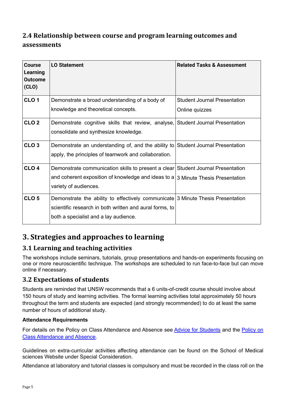## <span id="page-4-0"></span>**2.4 Relationship between course and program learning outcomes and assessments**

| <b>Course</b><br><b>Learning</b><br><b>Outcome</b><br>(CLO) | <b>LO Statement</b>                                                                | <b>Related Tasks &amp; Assessment</b> |
|-------------------------------------------------------------|------------------------------------------------------------------------------------|---------------------------------------|
| CLO <sub>1</sub>                                            | Demonstrate a broad understanding of a body of                                     | <b>Student Journal Presentation</b>   |
|                                                             | knowledge and theoretical concepts.                                                | Online quizzes                        |
| CLO <sub>2</sub>                                            | Demonstrate cognitive skills that review, analyse, Student Journal Presentation    |                                       |
|                                                             | consolidate and synthesize knowledge.                                              |                                       |
| CLO <sub>3</sub>                                            | Demonstrate an understanding of, and the ability to Student Journal Presentation   |                                       |
|                                                             | apply, the principles of teamwork and collaboration.                               |                                       |
| CLO <sub>4</sub>                                            | Demonstrate communication skills to present a clear Student Journal Presentation   |                                       |
|                                                             | and coherent exposition of knowledge and ideas to $a 3$ Minute Thesis Presentation |                                       |
|                                                             | variety of audiences.                                                              |                                       |
| CLO <sub>5</sub>                                            | Demonstrate the ability to effectively communicate 3 Minute Thesis Presentation    |                                       |
|                                                             | scientific research in both written and aural forms, to                            |                                       |
|                                                             | both a specialist and a lay audience.                                              |                                       |

## <span id="page-4-1"></span>**3. Strategies and approaches to learning**

## <span id="page-4-2"></span>**3.1 Learning and teaching activities**

The workshops include seminars, tutorials, group presentations and hands-on experiments focusing on one or more neuroscientific technique. The workshops are scheduled to run face-to-face but can move online if necessary.

## <span id="page-4-3"></span>**3.2 Expectations of students**

Students are reminded that UNSW recommends that a 6 units-of-credit course should involve about 150 hours of study and learning activities. The formal learning activities total approximately 50 hours throughout the term and students are expected (and strongly recommended) to do at least the same number of hours of additional study.

## **Attendance Requirements**

For details on the Policy on Class Attendance and Absence see [Advice for Students](http://medicalsciences.med.unsw.edu.au/students/undergraduate/advice-students#Attendance) and the [Policy on](https://student.unsw.edu.au/attendance)  [Class Attendance and Absence.](https://student.unsw.edu.au/attendance)

Guidelines on extra-curricular activities affecting attendance can be found on the School of Medical sciences Website under Special Consideration.

Attendance at laboratory and tutorial classes is compulsory and must be recorded in the class roll on the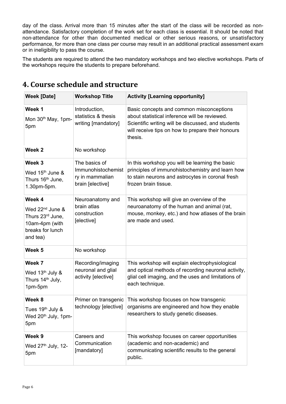day of the class. Arrival more than 15 minutes after the start of the class will be recorded as nonattendance. Satisfactory completion of the work set for each class is essential. It should be noted that non-attendance for other than documented medical or other serious reasons, or unsatisfactory performance, for more than one class per course may result in an additional practical assessment exam or in ineligibility to pass the course.

<span id="page-5-0"></span>The students are required to attend the two mandatory workshops and two elective workshops. Parts of the workshops require the students to prepare beforehand.

| <b>Week [Date]</b>                                                                                          | <b>Workshop Title</b>                                                      | <b>Activity [Learning opportunity]</b>                                                                                                                                                                          |
|-------------------------------------------------------------------------------------------------------------|----------------------------------------------------------------------------|-----------------------------------------------------------------------------------------------------------------------------------------------------------------------------------------------------------------|
| Week 1<br>Mon 30 <sup>th</sup> May, 1pm-<br>5pm                                                             | Introduction,<br>statistics & thesis<br>writing [mandatory]                | Basic concepts and common misconceptions<br>about statistical inference will be reviewed.<br>Scientific writing will be discussed, and students<br>will receive tips on how to prepare their honours<br>thesis. |
| Week <sub>2</sub>                                                                                           | No workshop                                                                |                                                                                                                                                                                                                 |
| Week 3<br>Wed 15 <sup>th</sup> June &<br>Thurs 16 <sup>th</sup> June,<br>1.30pm-5pm.                        | The basics of<br>Immunohistochemist<br>ry in mammalian<br>brain [elective] | In this workshop you will be learning the basic<br>principles of immunohistochemistry and learn how<br>to stain neurons and astrocytes in coronal fresh<br>frozen brain tissue.                                 |
| Week 4<br>Wed 22 <sup>nd</sup> June &<br>Thurs 23rd June,<br>10am-4pm (with<br>breaks for lunch<br>and tea) | Neuroanatomy and<br>brain atlas<br>construction<br>[elective]              | This workshop will give an overview of the<br>neuroanatomy of the human and animal (rat,<br>mouse, monkey, etc.) and how atlases of the brain<br>are made and used.                                             |
| Week 5                                                                                                      | No workshop                                                                |                                                                                                                                                                                                                 |
| Week 7<br>Wed 13 <sup>th</sup> July &<br>Thurs 14 <sup>th</sup> July,<br>1pm-5pm                            | Recording/imaging<br>neuronal and glial<br>activity [elective]             | This workshop will explain electrophysiological<br>and optical methods of recording neuronal activity,<br>glial cell imaging, and the uses and limitations of<br>each technique.                                |
| Week 8<br>Tues 19 <sup>th</sup> July &<br>Wed 20 <sup>th</sup> July, 1pm-<br>5pm                            | Primer on transgenic                                                       | This workshop focuses on how transgenic<br>technology [elective] organisms are engineered and how they enable<br>researchers to study genetic diseases.                                                         |
| Week 9<br>Wed $27th$ July, 12-<br>5pm                                                                       | Careers and<br>Communication<br>[mandatory]                                | This workshop focuses on career opportunities<br>(academic and non-academic) and<br>communicating scientific results to the general<br>public.                                                                  |

## **4. Course schedule and structure**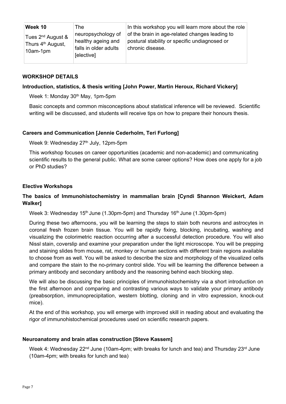| Week 10                                                                       | The                                                                             | In this workshop you will learn more about the role                                                                 |
|-------------------------------------------------------------------------------|---------------------------------------------------------------------------------|---------------------------------------------------------------------------------------------------------------------|
| Tues 2 <sup>nd</sup> August &<br>Thurs 4 <sup>th</sup> August,<br>$10$ am-1pm | neuropsychology of<br>healthy ageing and<br>falls in older adults<br>[elective] | of the brain in age-related changes leading to<br>postural stability or specific undiagnosed or<br>chronic disease. |

#### **WORKSHOP DETAILS**

#### **Introduction, statistics, & thesis writing [John Power, Martin Heroux, Richard Vickery]**

Week 1: Monday 30<sup>th</sup> May, 1pm-5pm

Basic concepts and common misconceptions about statistical inference will be reviewed. Scientific writing will be discussed, and students will receive tips on how to prepare their honours thesis.

#### **Careers and Communication [Jennie Cederholm, Teri Furlong]**

Week 9: Wednesday 27<sup>th</sup> July, 12pm-5pm

This workshop focuses on career opportunities (academic and non-academic) and communicating scientific results to the general public. What are some career options? How does one apply for a job or PhD studies?

#### **Elective Workshops**

## **The basics of Immunohistochemistry in mammalian brain [Cyndi Shannon Weickert, Adam Walker]**

Week 3: Wednesday 15<sup>th</sup> June (1.30pm-5pm) and Thursday 16<sup>th</sup> June (1.30pm-5pm)

During these two afternoons, you will be learning the steps to stain both neurons and astrocytes in coronal fresh frozen brain tissue. You will be rapidly fixing, blocking, incubating, washing and visualizing the colorimetric reaction occurring after a successful detection procedure. You will also Nissl stain, coverslip and examine your preparation under the light microscope. You will be prepping and staining slides from mouse, rat, monkey or human sections with different brain regions available to choose from as well. You will be asked to describe the size and morphology of the visualized cells and compare the stain to the no-primary control slide. You will be learning the difference between a primary antibody and secondary antibody and the reasoning behind each blocking step.

We will also be discussing the basic principles of immunohistochemistry via a short introduction on the first afternoon and comparing and contrasting various ways to validate your primary antibody (preabsorption, immunoprecipitation, western blotting, cloning and in vitro expression, knock-out mice).

At the end of this workshop, you will emerge with improved skill in reading about and evaluating the rigor of immunohistochemical procedures used on scientific research papers.

#### **Neuroanatomy and brain atlas construction [Steve Kassem]**

Week 4: Wednesday  $22^{nd}$  June (10am-4pm; with breaks for lunch and tea) and Thursday  $23^{rd}$  June (10am-4pm; with breaks for lunch and tea)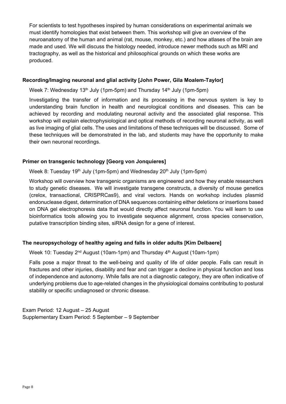For scientists to test hypotheses inspired by human considerations on experimental animals we must identify homologies that exist between them. This workshop will give an overview of the neuroanatomy of the human and animal (rat, mouse, monkey, etc.) and how atlases of the brain are made and used. We will discuss the histology needed, introduce newer methods such as MRI and tractography, as well as the historical and philosophical grounds on which these works are produced.

#### **Recording/Imaging neuronal and glial activity [John Power, Gila Moalem-Taylor]**

Week 7: Wednesday 13<sup>th</sup> July (1pm-5pm) and Thursday 14<sup>th</sup> July (1pm-5pm)

Investigating the transfer of information and its processing in the nervous system is key to understanding brain function in health and neurological conditions and diseases. This can be achieved by recording and modulating neuronal activity and the associated glial response. This workshop will explain electrophysiological and optical methods of recording neuronal activity, as well as live imaging of glial cells. The uses and limitations of these techniques will be discussed. Some of these techniques will be demonstrated in the lab, and students may have the opportunity to make their own neuronal recordings.

#### **Primer on transgenic technology [Georg von Jonquieres]**

Week 8: Tuesday 19<sup>th</sup> July (1pm-5pm) and Wednesday 20<sup>th</sup> July (1pm-5pm)

Workshop will overview how transgenic organisms are engineered and how they enable researchers to study genetic diseases. We will investigate transgene constructs, a diversity of mouse genetics (crelox, transactional, CRISPRCas9), and viral vectors. Hands on workshop includes plasmid endonuclease digest, determination of DNA sequences containing either deletions or insertions based on DNA gel electrophoresis data that would directly affect neuronal function. You will learn to use bioinformatics tools allowing you to investigate sequence alignment, cross species conservation, putative transcription binding sites, siRNA design for a gene of interest.

#### **The neuropsychology of healthy ageing and falls in older adults [Kim Delbaere]**

Week 10: Tuesday  $2<sup>nd</sup>$  August (10am-1pm) and Thursday  $4<sup>th</sup>$  August (10am-1pm)

Falls pose a major threat to the well-being and quality of life of older people. Falls can result in fractures and other injuries, disability and fear and can trigger a decline in physical function and loss of independence and autonomy. While falls are not a diagnostic category, they are often indicative of underlying problems due to age-related changes in the physiological domains contributing to postural stability or specific undiagnosed or chronic disease.

Exam Period: 12 August – 25 August Supplementary Exam Period: 5 September – 9 September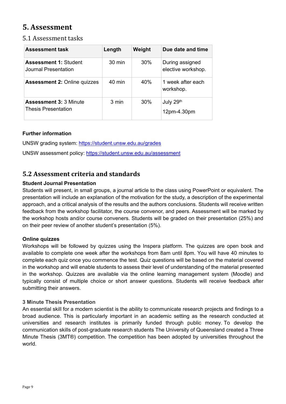## <span id="page-8-0"></span>**5. Assessment**

## <span id="page-8-1"></span>5.1 Assessment tasks

| <b>Assessment task</b>                                      | Length           | Weight | Due date and time                     |
|-------------------------------------------------------------|------------------|--------|---------------------------------------|
| <b>Assessment 1: Student</b><br>Journal Presentation        | $30 \text{ min}$ | 30%    | During assigned<br>elective workshop. |
| <b>Assessment 2: Online quizzes</b>                         | $40 \text{ min}$ | 40%    | 1 week after each<br>workshop.        |
| <b>Assessment 3: 3 Minute</b><br><b>Thesis Presentation</b> | 3 min            | 30%    | July 29th<br>12pm-4.30pm              |

## **Further information**

UNSW grading system:<https://student.unsw.edu.au/grades>

UNSW assessment policy:<https://student.unsw.edu.au/assessment>

## <span id="page-8-2"></span>**5.2 Assessment criteria and standards**

## **Student Journal Presentation**

Students will present, in small groups, a journal article to the class using PowerPoint or equivalent. The presentation will include an explanation of the motivation for the study, a description of the experimental approach, and a critical analysis of the results and the authors conclusions. Students will receive written feedback from the workshop facilitator, the course convenor, and peers. Assessment will be marked by the workshop hosts and/or course conveners. Students will be graded on their presentation (25%) and on their peer review of another student's presentation (5%).

## **Online quizzes**

Workshops will be followed by quizzes using the Inspera platform. The quizzes are open book and available to complete one week after the workshops from 8am until 8pm. You will have 40 minutes to complete each quiz once you commence the test. Quiz questions will be based on the material covered in the workshop and will enable students to assess their level of understanding of the material presented in the workshop. Quizzes are available via the online learning management system (Moodle) and typically consist of multiple choice or short answer questions. Students will receive feedback after submitting their answers.

## **3 Minute Thesis Presentation**

An essential skill for a modern scientist is the ability to communicate research projects and findings to a broad audience. This is particularly important in an academic setting as the research conducted at universities and research institutes is primarily funded through public money. To develop the communication skills of post-graduate research students The University of Queensland created a Three Minute Thesis (3MT®) competition. The competition has been adopted by universities throughout the world.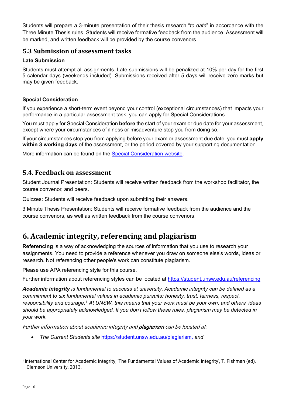Students will prepare a 3-minute presentation of their thesis research "*to date*" in accordance with the Three Minute Thesis rules. Students will receive formative feedback from the audience. Assessment will be marked, and written feedback will be provided by the course convenors.

## <span id="page-9-0"></span>**5.3 Submission of assessment tasks**

#### **Late Submission**

Students must attempt all assignments. Late submissions will be penalized at 10% per day for the first 5 calendar days (weekends included). Submissions received after 5 days will receive zero marks but may be given feedback.

#### **Special Consideration**

If you experience a short-term event beyond your control (exceptional circumstances) that impacts your performance in a particular assessment task, you can apply for Special Considerations.

You must apply for Special Consideration **before** the start of your exam or due date for your assessment, except where your circumstances of illness or misadventure stop you from doing so.

If your circumstances stop you from applying before your exam or assessment due date, you must **apply within 3 working days** of the assessment, or the period covered by your supporting documentation.

More information can be found on the [Special Consideration website.](https://www.student.unsw.edu.au/special-consideration)

## <span id="page-9-1"></span>**5.4. Feedback on assessment**

Student Journal Presentation: Students will receive written feedback from the workshop facilitator, the course convenor, and peers.

Quizzes: Students will receive feedback upon submitting their answers.

3 Minute Thesis Presentation: Students will receive formative feedback from the audience and the course convenors, as well as written feedback from the course convenors.

## <span id="page-9-2"></span>**6. Academic integrity, referencing and plagiarism**

**Referencing** is a way of acknowledging the sources of information that you use to research your assignments. You need to provide a reference whenever you draw on someone else's words, ideas or research. Not referencing other people's work can constitute plagiarism.

Please use APA referencing style for this course.

Further information about referencing styles can be located at<https://student.unsw.edu.au/referencing>

*Academic integrity is fundamental to success at university. Academic integrity can be defined as a commitment to six fundamental values in academic pursuits: honesty, trust, fairness, respect, responsibility and courage.*[1](#page-9-3) *At UNSW, this means that your work must be your own, and others' ideas should be appropriately acknowledged. If you don't follow these rules, plagiarism may be detected in your work.* 

Further information about academic integrity and plagiarism can be located at:

• *The Current Students site* <https://student.unsw.edu.au/plagiarism>*, and* 

<span id="page-9-3"></span><sup>1</sup> International Center for Academic Integrity, 'The Fundamental Values of Academic Integrity', T. Fishman (ed), Clemson University, 2013.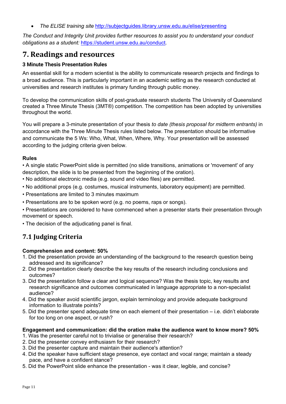• *The ELISE training site* <http://subjectguides.library.unsw.edu.au/elise/presenting>

*The Conduct and Integrity Unit provides further resources to assist you to understand your conduct obligations as a student:* <https://student.unsw.edu.au/conduct>*.*

## **7. Readings and resources**

## **3 Minute Thesis Presentation Rules**

An essential skill for a modern scientist is the ability to communicate research projects and findings to a broad audience. This is particularly important in an academic setting as the research conducted at universities and research institutes is primary funding through public money.

To develop the communication skills of post-graduate research students The University of Queensland created a Three Minute Thesis (3MT®) competition. The competition has been adopted by universities throughout the world.

You will prepare a 3-minute presentation of your thesis *to date (thesis proposal for midterm entrants)* in accordance with the Three Minute Thesis rules listed below. The presentation should be informative and communicate the 5 Ws: Who, What, When, Where, Why. Your presentation will be assessed according to the judging criteria given below.

## **Rules**

• A single static PowerPoint slide is permitted (no slide transitions, animations or 'movement' of any description, the slide is to be presented from the beginning of the oration).

- No additional electronic media (e.g. sound and video files) are permitted.
- No additional props (e.g. costumes, musical instruments, laboratory equipment) are permitted.
- Presentations are limited to 3 minutes maximum
- Presentations are to be spoken word (e.g. no poems, raps or songs).

• Presentations are considered to have commenced when a presenter starts their presentation through movement or speech.

• The decision of the adjudicating panel is final.

## **7.1 Judging Criteria**

## **Comprehension and content: 50%**

- 1. Did the presentation provide an understanding of the background to the research question being addressed and its significance?
- 2. Did the presentation clearly describe the key results of the research including conclusions and outcomes?
- 3. Did the presentation follow a clear and logical sequence? Was the thesis topic, key results and research significance and outcomes communicated in language appropriate to a non-specialist audience?
- 4. Did the speaker avoid scientific jargon, explain terminology and provide adequate background information to illustrate points?
- 5. Did the presenter spend adequate time on each element of their presentation i.e. didn't elaborate for too long on one aspect, or rush?

## **Engagement and communication: did the oration make the audience want to know more? 50%**

- 1. Was the presenter careful not to trivialise or generalise their research?
- 2. Did the presenter convey enthusiasm for their research?
- 3. Did the presenter capture and maintain their audience's attention?
- 4. Did the speaker have sufficient stage presence, eye contact and vocal range; maintain a steady pace, and have a confident stance?
- 5. Did the PowerPoint slide enhance the presentation was it clear, legible, and concise?